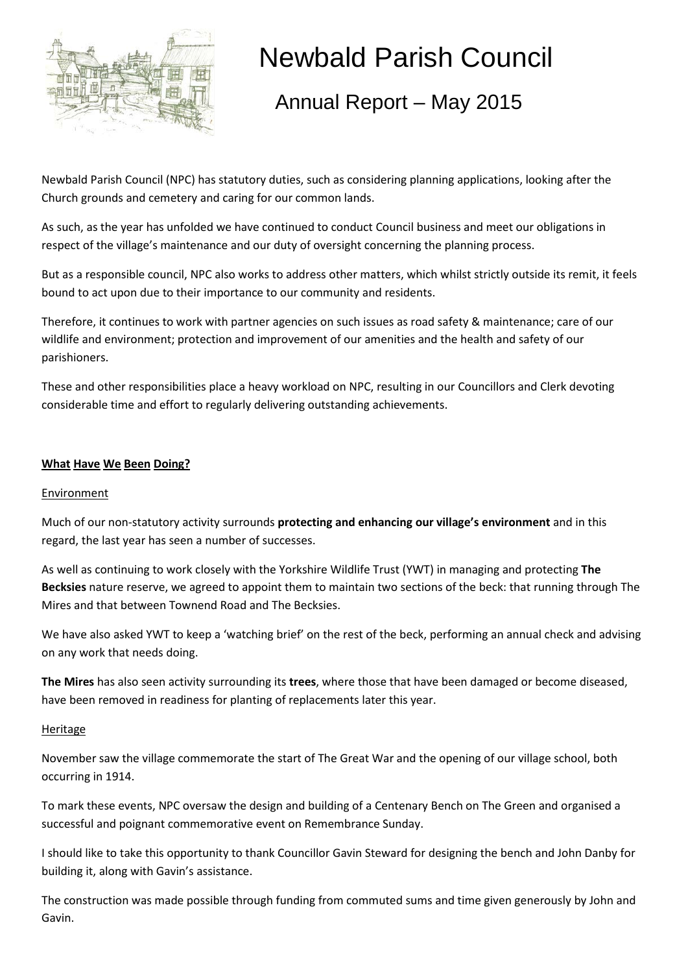

# Newbald Parish Council

## Annual Report – May 2015

Newbald Parish Council (NPC) has statutory duties, such as considering planning applications, looking after the Church grounds and cemetery and caring for our common lands.

As such, as the year has unfolded we have continued to conduct Council business and meet our obligations in respect of the village's maintenance and our duty of oversight concerning the planning process.

But as a responsible council, NPC also works to address other matters, which whilst strictly outside its remit, it feels bound to act upon due to their importance to our community and residents.

Therefore, it continues to work with partner agencies on such issues as road safety & maintenance; care of our wildlife and environment; protection and improvement of our amenities and the health and safety of our parishioners.

These and other responsibilities place a heavy workload on NPC, resulting in our Councillors and Clerk devoting considerable time and effort to regularly delivering outstanding achievements.

#### **What Have We Been Doing?**

#### Environment

Much of our non-statutory activity surrounds **protecting and enhancing our village's environment** and in this regard, the last year has seen a number of successes.

As well as continuing to work closely with the Yorkshire Wildlife Trust (YWT) in managing and protecting **The Becksies** nature reserve, we agreed to appoint them to maintain two sections of the beck: that running through The Mires and that between Townend Road and The Becksies.

We have also asked YWT to keep a 'watching brief' on the rest of the beck, performing an annual check and advising on any work that needs doing.

**The Mires** has also seen activity surrounding its **trees**, where those that have been damaged or become diseased, have been removed in readiness for planting of replacements later this year.

#### Heritage

November saw the village commemorate the start of The Great War and the opening of our village school, both occurring in 1914.

To mark these events, NPC oversaw the design and building of a Centenary Bench on The Green and organised a successful and poignant commemorative event on Remembrance Sunday.

I should like to take this opportunity to thank Councillor Gavin Steward for designing the bench and John Danby for building it, along with Gavin's assistance.

The construction was made possible through funding from commuted sums and time given generously by John and Gavin.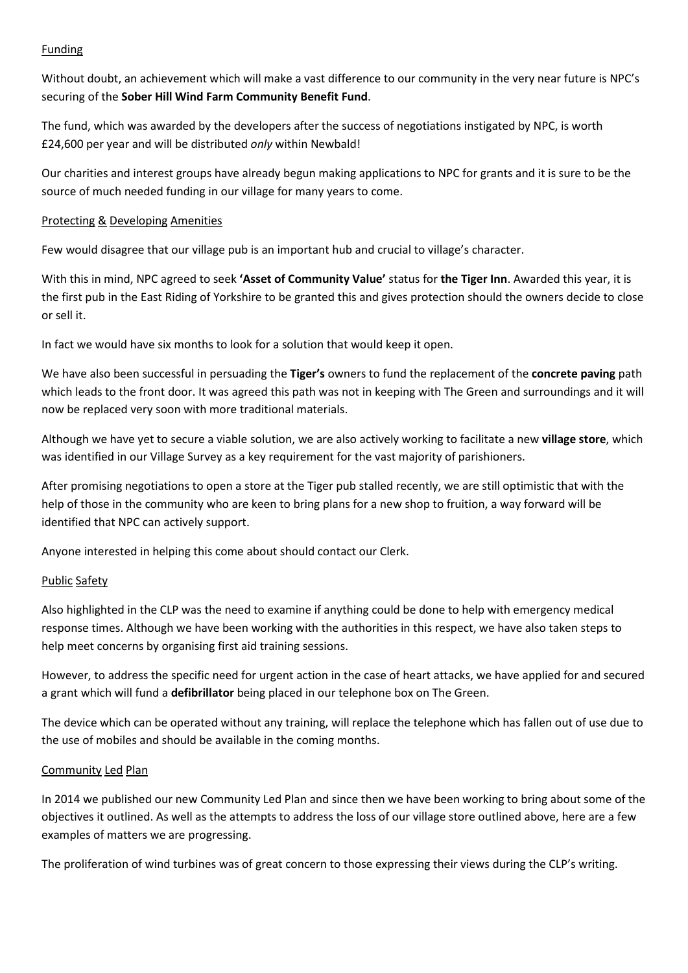#### Funding

Without doubt, an achievement which will make a vast difference to our community in the very near future is NPC's securing of the **Sober Hill Wind Farm Community Benefit Fund**.

The fund, which was awarded by the developers after the success of negotiations instigated by NPC, is worth £24,600 per year and will be distributed *only* within Newbald!

Our charities and interest groups have already begun making applications to NPC for grants and it is sure to be the source of much needed funding in our village for many years to come.

#### Protecting & Developing Amenities

Few would disagree that our village pub is an important hub and crucial to village's character.

With this in mind, NPC agreed to seek **'Asset of Community Value'** status for **the Tiger Inn**. Awarded this year, it is the first pub in the East Riding of Yorkshire to be granted this and gives protection should the owners decide to close or sell it.

In fact we would have six months to look for a solution that would keep it open.

We have also been successful in persuading the **Tiger's** owners to fund the replacement of the **concrete paving** path which leads to the front door. It was agreed this path was not in keeping with The Green and surroundings and it will now be replaced very soon with more traditional materials.

Although we have yet to secure a viable solution, we are also actively working to facilitate a new **village store**, which was identified in our Village Survey as a key requirement for the vast majority of parishioners.

After promising negotiations to open a store at the Tiger pub stalled recently, we are still optimistic that with the help of those in the community who are keen to bring plans for a new shop to fruition, a way forward will be identified that NPC can actively support.

Anyone interested in helping this come about should contact our Clerk.

#### Public Safety

Also highlighted in the CLP was the need to examine if anything could be done to help with emergency medical response times. Although we have been working with the authorities in this respect, we have also taken steps to help meet concerns by organising first aid training sessions.

However, to address the specific need for urgent action in the case of heart attacks, we have applied for and secured a grant which will fund a **defibrillator** being placed in our telephone box on The Green.

The device which can be operated without any training, will replace the telephone which has fallen out of use due to the use of mobiles and should be available in the coming months.

#### Community Led Plan

In 2014 we published our new Community Led Plan and since then we have been working to bring about some of the objectives it outlined. As well as the attempts to address the loss of our village store outlined above, here are a few examples of matters we are progressing.

The proliferation of wind turbines was of great concern to those expressing their views during the CLP's writing.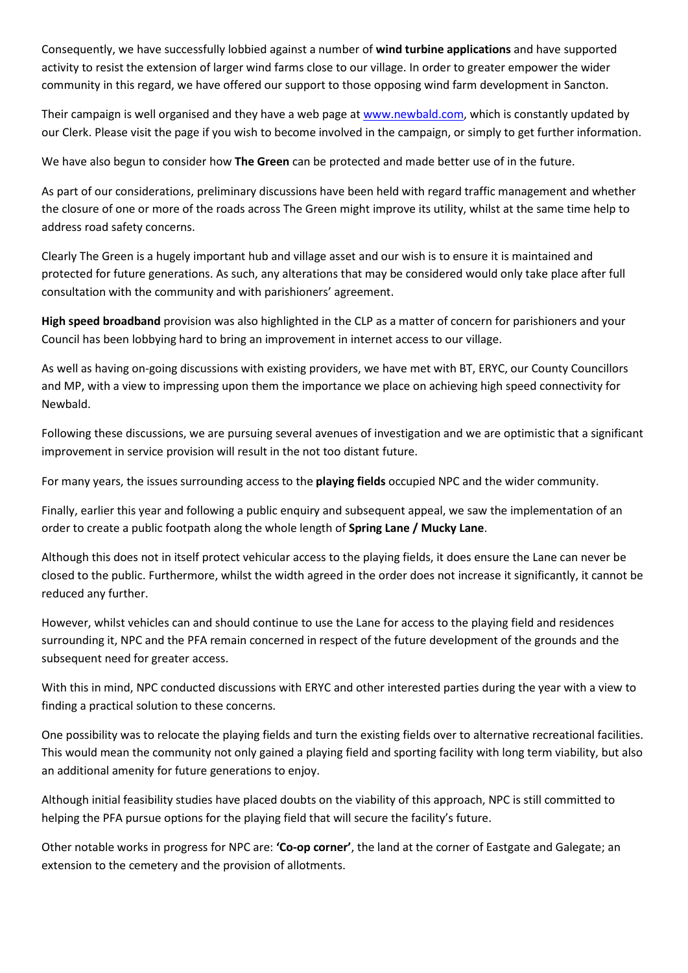Consequently, we have successfully lobbied against a number of **wind turbine applications** and have supported activity to resist the extension of larger wind farms close to our village. In order to greater empower the wider community in this regard, we have offered our support to those opposing wind farm development in Sancton.

Their campaign is well organised and they have a web page a[t www.newbald.com,](http://www.newbald.com/group-opposing-sancton-hill-wind-farm-proposed-extension/) which is constantly updated by our Clerk. Please visit the page if you wish to become involved in the campaign, or simply to get further information.

We have also begun to consider how **The Green** can be protected and made better use of in the future.

As part of our considerations, preliminary discussions have been held with regard traffic management and whether the closure of one or more of the roads across The Green might improve its utility, whilst at the same time help to address road safety concerns.

Clearly The Green is a hugely important hub and village asset and our wish is to ensure it is maintained and protected for future generations. As such, any alterations that may be considered would only take place after full consultation with the community and with parishioners' agreement.

**High speed broadband** provision was also highlighted in the CLP as a matter of concern for parishioners and your Council has been lobbying hard to bring an improvement in internet access to our village.

As well as having on-going discussions with existing providers, we have met with BT, ERYC, our County Councillors and MP, with a view to impressing upon them the importance we place on achieving high speed connectivity for Newbald.

Following these discussions, we are pursuing several avenues of investigation and we are optimistic that a significant improvement in service provision will result in the not too distant future.

For many years, the issues surrounding access to the **playing fields** occupied NPC and the wider community.

Finally, earlier this year and following a public enquiry and subsequent appeal, we saw the implementation of an order to create a public footpath along the whole length of **Spring Lane / Mucky Lane**.

Although this does not in itself protect vehicular access to the playing fields, it does ensure the Lane can never be closed to the public. Furthermore, whilst the width agreed in the order does not increase it significantly, it cannot be reduced any further.

However, whilst vehicles can and should continue to use the Lane for access to the playing field and residences surrounding it, NPC and the PFA remain concerned in respect of the future development of the grounds and the subsequent need for greater access.

With this in mind, NPC conducted discussions with ERYC and other interested parties during the year with a view to finding a practical solution to these concerns.

One possibility was to relocate the playing fields and turn the existing fields over to alternative recreational facilities. This would mean the community not only gained a playing field and sporting facility with long term viability, but also an additional amenity for future generations to enjoy.

Although initial feasibility studies have placed doubts on the viability of this approach, NPC is still committed to helping the PFA pursue options for the playing field that will secure the facility's future.

Other notable works in progress for NPC are: **'Co-op corner'**, the land at the corner of Eastgate and Galegate; an extension to the cemetery and the provision of allotments.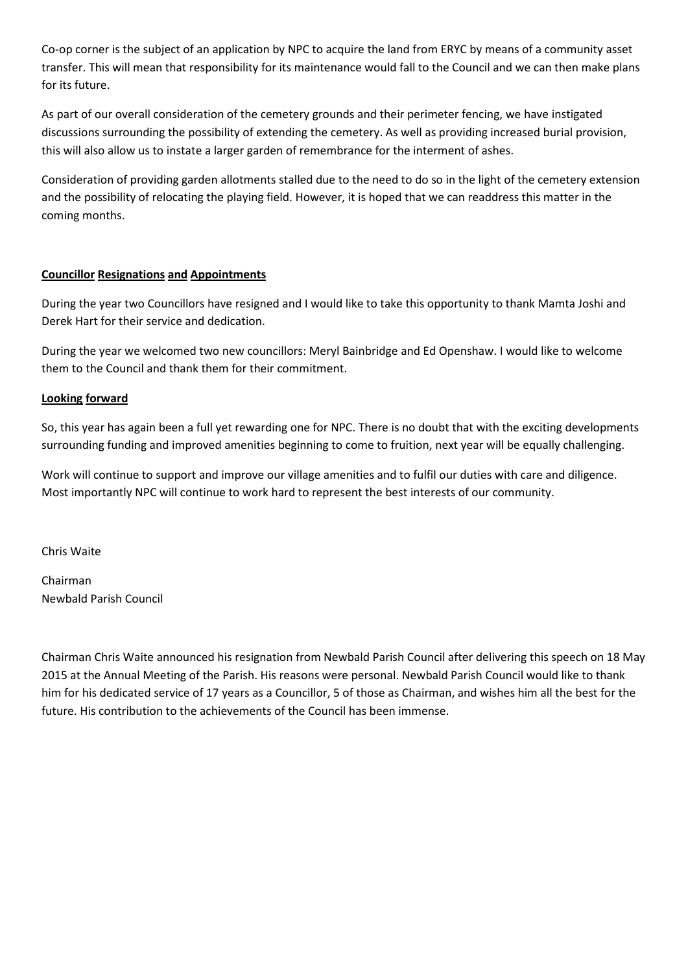Co-op corner is the subject of an application by NPC to acquire the land from ERYC by means of a community asset transfer. This will mean that responsibility for its maintenance would fall to the Council and we can then make plans for its future.

As part of our overall consideration of the cemetery grounds and their perimeter fencing, we have instigated discussions surrounding the possibility of extending the cemetery. As well as providing increased burial provision, this will also allow us to instate a larger garden of remembrance for the interment of ashes.

Consideration of providing garden allotments stalled due to the need to do so in the light of the cemetery extension and the possibility of relocating the playing field. However, it is hoped that we can readdress this matter in the coming months.

#### **Councillor Resignations and Appointments**

During the year two Councillors have resigned and I would like to take this opportunity to thank Mamta Joshi and Derek Hart for their service and dedication.

During the year we welcomed two new councillors: Meryl Bainbridge and Ed Openshaw. I would like to welcome them to the Council and thank them for their commitment.

#### **Looking forward**

So, this year has again been a full yet rewarding one for NPC. There is no doubt that with the exciting developments surrounding funding and improved amenities beginning to come to fruition, next year will be equally challenging.

Work will continue to support and improve our village amenities and to fulfil our duties with care and diligence. Most importantly NPC will continue to work hard to represent the best interests of our community.

Chris Waite

Chairman Newbald Parish Council

Chairman Chris Waite announced his resignation from Newbald Parish Council after delivering this speech on 18 May 2015 at the Annual Meeting of the Parish. His reasons were personal. Newbald Parish Council would like to thank him for his dedicated service of 17 years as a Councillor, 5 of those as Chairman, and wishes him all the best for the future. His contribution to the achievements of the Council has been immense.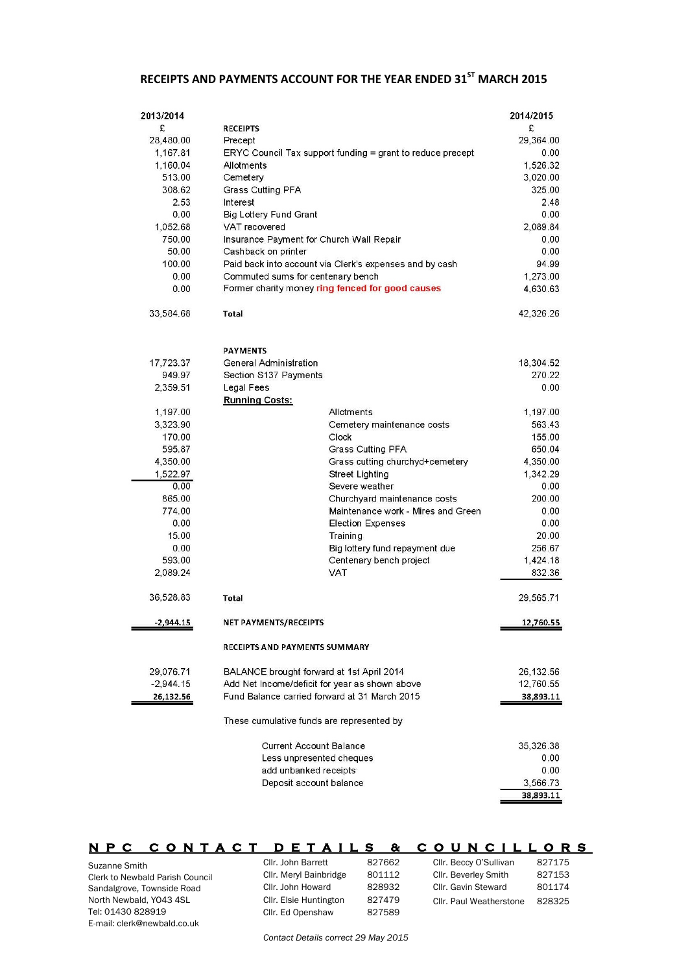### **RECEIPTS AND PAYMENTS ACCOUNT FOR THE YEAR ENDED 31ST MARCH 2015**

| 2013/2014                      |                                                            |                                    | 2014/2015 |
|--------------------------------|------------------------------------------------------------|------------------------------------|-----------|
| £                              | <b>RECEIPTS</b>                                            |                                    | £         |
| 28,480.00                      | Precept                                                    |                                    | 29,364.00 |
| 1,167.81                       | ERYC Council Tax support funding = grant to reduce precept |                                    | 0.00      |
| 1,160.04                       | Allotments                                                 |                                    | 1,526.32  |
| 513.00                         | Cemetery                                                   |                                    | 3,020.00  |
| 308.62                         | Grass Cutting PFA                                          |                                    | 325.00    |
| 2.53                           | Interest                                                   |                                    | 2.48      |
| 0.00                           | Big Lottery Fund Grant                                     |                                    | 0.00      |
| 1,052.68                       | VAT recovered                                              |                                    | 2,089.84  |
| 750.00                         | Insurance Payment for Church Wall Repair                   |                                    | 0.00      |
| 50.00                          | Cashback on printer                                        |                                    | 0.00      |
| 100.00                         | Paid back into account via Clerk's expenses and by cash    |                                    | 94.99     |
| 0.00                           | Commuted sums for centenary bench                          |                                    | 1,273.00  |
| 0.00                           | Former charity money ring fenced for good causes           |                                    | 4,630.63  |
| 33,584.68                      | <b>Total</b>                                               |                                    | 42,326.26 |
|                                | <b>PAYMENTS</b>                                            |                                    |           |
| 17,723.37                      | General Administration                                     |                                    | 18,304.52 |
| 949.97                         | Section S137 Payments                                      |                                    | 270.22    |
| 2,359.51                       | Legal Fees                                                 |                                    | 0.00      |
|                                | <b>Running Costs:</b>                                      |                                    |           |
| 1,197.00                       |                                                            | Allotments                         | 1,197.00  |
| 3,323.90                       |                                                            | Cemetery maintenance costs         | 563.43    |
| 170.00                         | Clock                                                      |                                    | 155.00    |
| 595.87                         |                                                            | <b>Grass Cutting PFA</b>           | 650.04    |
| 4,350.00                       |                                                            | Grass cutting churchyd+cemetery    | 4,350.00  |
| 1,522.97                       |                                                            | <b>Street Lighting</b>             | 1,342.29  |
| 0.00                           |                                                            | Severe weather                     | 0.00      |
| 865.00                         |                                                            | Churchyard maintenance costs       | 200.00    |
| 774.00                         |                                                            | Maintenance work - Mires and Green | 0.00      |
| 0.00                           |                                                            | <b>Election Expenses</b>           | 0.00      |
| 15.00                          | Training                                                   |                                    | 20.00     |
| 0.00                           |                                                            | Big lottery fund repayment due     | 256.67    |
| 593.00                         |                                                            | Centenary bench project            | 1,424.18  |
| 2,089.24                       | <b>VAT</b>                                                 |                                    | 832.36    |
| 36,528.83                      | <b>Total</b>                                               |                                    | 29,565.71 |
| $-2,944.15$                    | NET PAYMENTS/RECEIPTS                                      |                                    | 12,760.55 |
|                                | RECEIPTS AND PAYMENTS SUMMARY                              |                                    |           |
| 29,076.71                      | BALANCE brought forward at 1st April 2014                  |                                    | 26,132.56 |
| $-2,944.15$                    | Add Net Income/deficit for year as shown above             |                                    | 12,760.55 |
| 26,132.56                      | Fund Balance carried forward at 31 March 2015              |                                    | 38,893.11 |
|                                | These cumulative funds are represented by                  |                                    |           |
| <b>Current Account Balance</b> |                                                            | 35,326.38                          |           |
| Less unpresented cheques       |                                                            | 0.00                               |           |
| add unbanked receipts          |                                                            | 0.00                               |           |
| Deposit account balance        |                                                            | 3,566.73                           |           |
|                                |                                                            |                                    | 38,893.11 |

Suzanne Smith Clerk to Newbald Parish Council Sandalgrove, Townside Road North Newbald, YO43 4SL Tel: 01430 828919 **NPC CONTACT DETAILS & COUNCILLORS**  Cllr. John Barrett 827662 Cllr. Meryl Bainbridge 801112 Cllr. John Howard 828932 Cllr. Elsie Huntington 827479 Cllr. Ed Openshaw 827589 Cllr. Beccy O'Sullivan 827175 Cllr. Beverley Smith 827153 Cllr. Gavin Steward 801174 Cllr. Paul Weatherstone 828325

*Contact Details correct 29 May 2015*

E-mail: clerk@newbald.co.uk